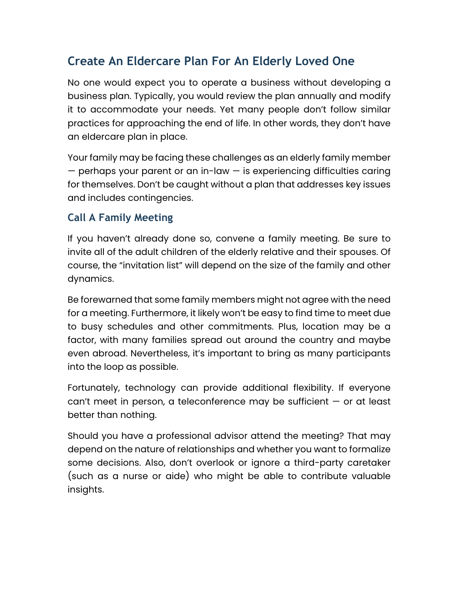## **Create An Eldercare Plan For An Elderly Loved One**

No one would expect you to operate a business without developing a business plan. Typically, you would review the plan annually and modify it to accommodate your needs. Yet many people don't follow similar practices for approaching the end of life. In other words, they don't have an eldercare plan in place.

Your family may be facing these challenges as an elderly family member — perhaps your parent or an in-law — is experiencing difficulties caring for themselves. Don't be caught without a plan that addresses key issues and includes contingencies.

## **Call A Family Meeting**

If you haven't already done so, convene a family meeting. Be sure to invite all of the adult children of the elderly relative and their spouses. Of course, the "invitation list" will depend on the size of the family and other dynamics.

Be forewarned that some family members might not agree with the need for a meeting. Furthermore, it likely won't be easy to find time to meet due to busy schedules and other commitments. Plus, location may be a factor, with many families spread out around the country and maybe even abroad. Nevertheless, it's important to bring as many participants into the loop as possible.

Fortunately, technology can provide additional flexibility. If everyone can't meet in person, a teleconference may be sufficient — or at least better than nothing.

Should you have a professional advisor attend the meeting? That may depend on the nature of relationships and whether you want to formalize some decisions. Also, don't overlook or ignore a third-party caretaker (such as a nurse or aide) who might be able to contribute valuable insights.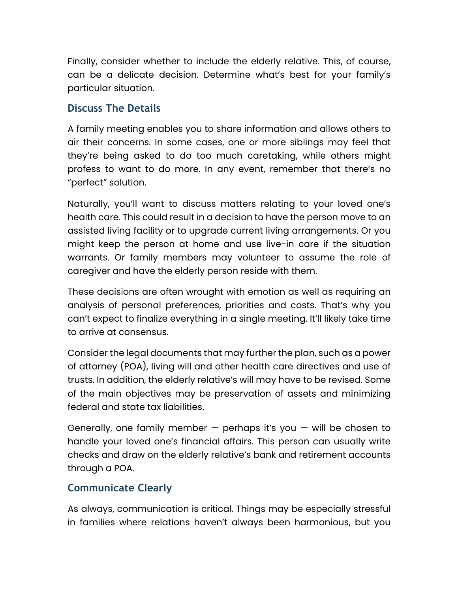Finally, consider whether to include the elderly relative. This, of course, can be a delicate decision. Determine what's best for your family's particular situation.

## **Discuss The Details**

A family meeting enables you to share information and allows others to air their concerns. In some cases, one or more siblings may feel that they're being asked to do too much caretaking, while others might profess to want to do more. In any event, remember that there's no "perfect" solution.

Naturally, you'll want to discuss matters relating to your loved one's health care. This could result in a decision to have the person move to an assisted living facility or to upgrade current living arrangements. Or you might keep the person at home and use live-in care if the situation warrants. Or family members may volunteer to assume the role of caregiver and have the elderly person reside with them.

These decisions are often wrought with emotion as well as requiring an analysis of personal preferences, priorities and costs. That's why you can't expect to finalize everything in a single meeting. It'll likely take time to arrive at consensus.

Consider the legal documents that may further the plan, such as a power of attorney (POA), living will and other health care directives and use of trusts. In addition, the elderly relative's will may have to be revised. Some of the main objectives may be preservation of assets and minimizing federal and state tax liabilities.

Generally, one family member  $-$  perhaps it's you  $-$  will be chosen to handle your loved one's financial affairs. This person can usually write checks and draw on the elderly relative's bank and retirement accounts through a POA.

## **Communicate Clearly**

As always, communication is critical. Things may be especially stressful in families where relations haven't always been harmonious, but you